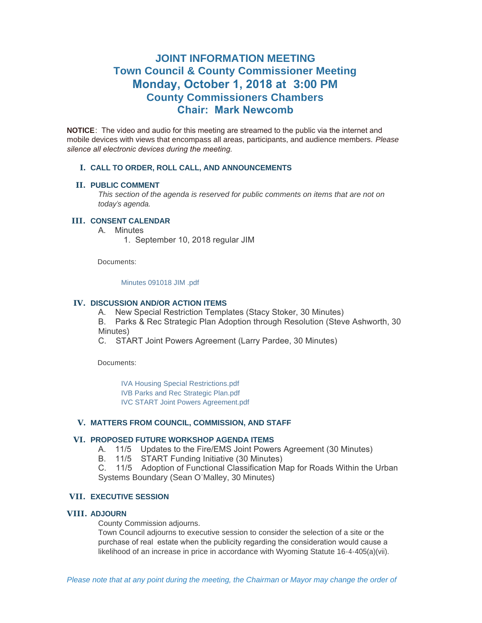# **JOINT INFORMATION MEETING Town Council & County Commissioner Meeting Monday, October 1, 2018 at 3:00 PM County Commissioners Chambers Chair: Mark Newcomb**

**NOTICE**: The video and audio for this meeting are streamed to the public via the internet and mobile devices with views that encompass all areas, participants, and audience members. *Please silence all electronic devices during the meeting.* 

#### **CALL TO ORDER, ROLL CALL, AND ANNOUNCEMENTS I.**

#### **PUBLIC COMMENT II.**

*This section of the agenda is reserved for public comments on items that are not on today's agenda.*

# **CONSENT CALENDAR III.**

A. Minutes

1. September 10, 2018 regular JIM

Documents:

#### [Minutes 091018 JIM .pdf](https://www.jacksonwy.gov/AgendaCenter/ViewFile/Item/1562?fileID=4236)

## **IV. DISCUSSION AND/OR ACTION ITEMS**

A. New Special Restriction Templates (Stacy Stoker, 30 Minutes)

B. Parks & Rec Strategic Plan Adoption through Resolution (Steve Ashworth, 30 Minutes)

C. START Joint Powers Agreement (Larry Pardee, 30 Minutes)

Documents:

[IVA Housing Special Restrictions.pdf](https://www.jacksonwy.gov/AgendaCenter/ViewFile/Item/1563?fileID=4237)

[IVB Parks and Rec Strategic Plan.pdf](https://www.jacksonwy.gov/AgendaCenter/ViewFile/Item/1563?fileID=4238)

[IVC START Joint Powers Agreement.pdf](https://www.jacksonwy.gov/AgendaCenter/ViewFile/Item/1563?fileID=4262)

# **MATTERS FROM COUNCIL, COMMISSION, AND STAFF V.**

# **PROPOSED FUTURE WORKSHOP AGENDA ITEMS VI.**

- A. 11/5 Updates to the Fire/EMS Joint Powers Agreement (30 Minutes)
- B. 11/5 START Funding Initiative (30 Minutes)

C. 11/5 Adoption of Functional Classification Map for Roads Within the Urban Systems Boundary (Sean O'Malley, 30 Minutes)

# **EXECUTIVE SESSION VII.**

#### **ADJOURN VIII.**

County Commission adjourns.

Town Council adjourns to executive session to consider the selection of a site or the purchase of real estate when the publicity regarding the consideration would cause a likelihood of an increase in price in accordance with Wyoming Statute 16-4-405(a)(vii).